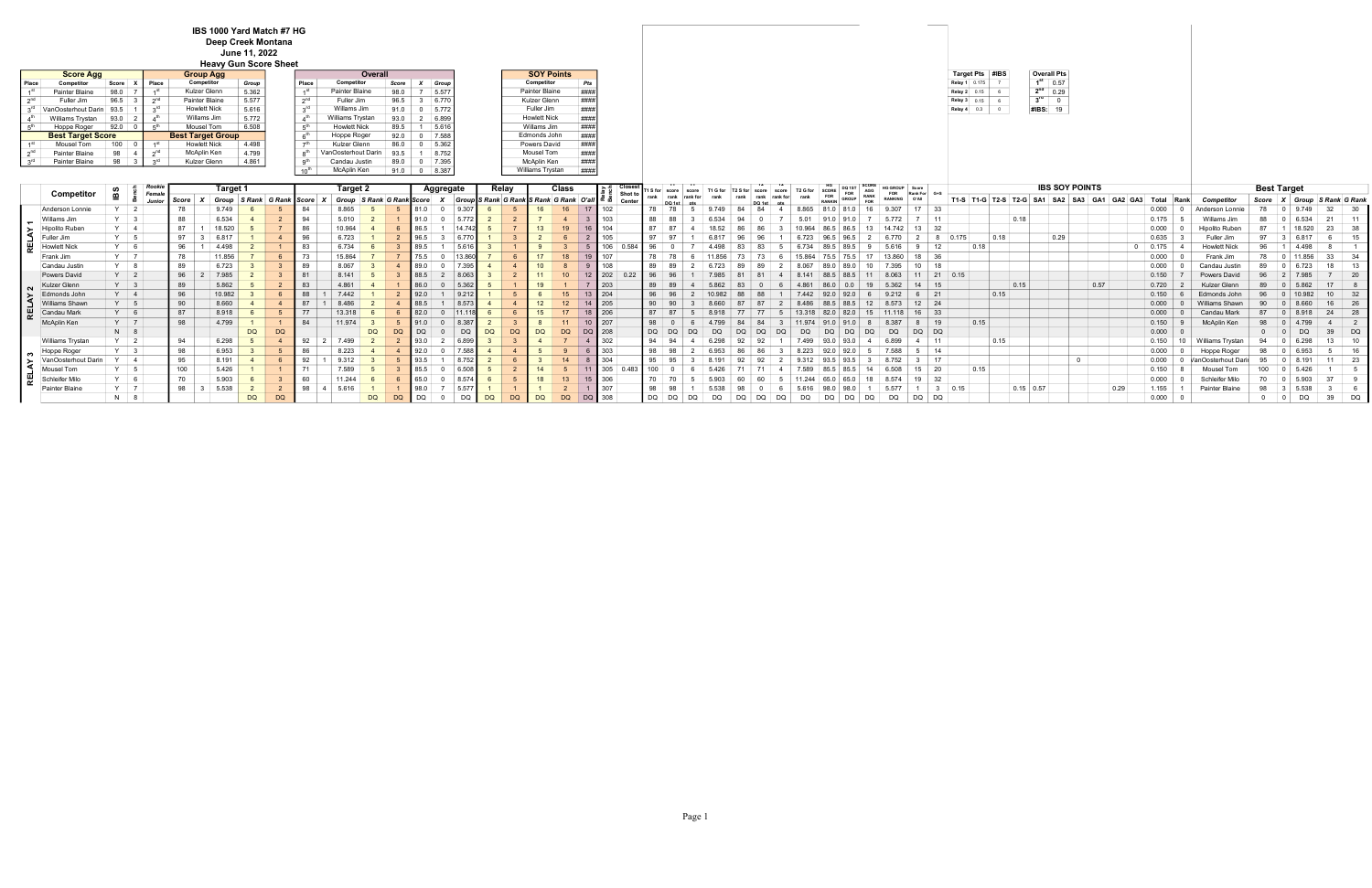|                 | <b>Overall Pts</b> |
|-----------------|--------------------|
| 1 <sup>st</sup> | 0.57               |
| 2 <sup>nd</sup> | 0.29               |
| $3^{\text{rd}}$ |                    |
| #IBS:           | 19                 |

|                        |                          |       |              |                          | <b>Heavy Gun Score Sheet</b> |                 |                     |       |    |                    |                     |      |
|------------------------|--------------------------|-------|--------------|--------------------------|------------------------------|-----------------|---------------------|-------|----|--------------------|---------------------|------|
|                        | <b>Score Agg</b>         |       |              | <b>Group Agg</b>         |                              |                 | Overall             |       |    |                    | <b>SOY Points</b>   |      |
| Place                  | Competitor               | Score | <b>Place</b> | Competitor               | Group                        | Place           | Competitor          | Score |    | Group <sup>1</sup> | Competitor          | Pts  |
| 4 SL                   | Painter Blaine           | 98.0  |              | Kulzer Glenn             | 5.362                        | 1 <sup>st</sup> | Painter Blaine      | 98.0  |    | 5.577              | Painter Blaine      | #### |
| $\gamma$ <sup>nd</sup> | Fuller Jim               | 96.5  | എ¤           | Painter Blaine           | 5.577                        | $\gamma$ nd     | Fuller Jim          | 96.5  | -3 | 6.770              | Kulzer Glenn        | ###  |
| οrα                    | VanOosterhout Darin 93.5 |       |              | <b>Howlett Nick</b>      | 5.616                        | 3 <sup>rd</sup> | Willams Jim         | 91.0  |    | 5.772              | Fuller Jim          | ###  |
|                        | Williams Trystan         | 93.0  |              | Willams Jim              | 5.772                        | ⊿th             | Williams Trystan    | 93.0  |    | 2 6.899            | <b>Howlett Nick</b> | #### |
| .5 <sup>th</sup>       | Hoppe Roger              | 92.0  |              | Mousel Tom               | 6.508                        | 5 <sup>th</sup> | <b>Howlett Nick</b> | 89.5  |    | 5.616              | Willams Jim         | ###  |
|                        | <b>Best Target Score</b> |       |              | <b>Best Target Group</b> |                              | 6 <sup>th</sup> | Hoppe Roger         | 92.0  |    | 7.588              | Edmonds John        |      |
| $4^{51}$               | Mousel Tom               | 100   |              | <b>Howlett Nick</b>      | 4.498                        | -th             | Kulzer Glenn        | 86.0  |    | 5.362              | Powers David        | ###  |
| ე <sup>nd</sup>        | Painter Blaine           | 98    | $\sim$ nd    | McAplin Ken              | 4.799                        |                 | VanOosterhout Darin | 93.5  |    | 8.752              | Mousel Tom          | ###  |
| $3^{\text{rd}}$        | Painter Blaine           | 98    |              | Kulzer Glenn             | 4.861                        | o <sup>th</sup> | Candau Justin       | 89.0  |    | 7.395              | McAplin Ken         | ###  |
|                        |                          |       |              |                          |                              | $10^{th}$       | McAplin Ken         | 91.0  |    | $0 \mid 8.387$     | Williams Trystan    | #### |
|                        |                          |       |              |                          |                              |                 |                     |       |    |                    |                     |      |

|     | Competitor            | ËВ         | Rooki<br><b>Female</b> |       | Target ' |                     |           |    | Target 2 |                           |    |      | Aggregate      |           | Relay     |           | Class                                          |        |                   |     | S for score |  |  |       |              |                    | <b>FOR</b> |                              |             |                                       |             |      | <b>IBS SOY POINTS</b>   |      |       |      |                       | <b>Best Target</b> |  |                     |
|-----|-----------------------|------------|------------------------|-------|----------|---------------------|-----------|----|----------|---------------------------|----|------|----------------|-----------|-----------|-----------|------------------------------------------------|--------|-------------------|-----|-------------|--|--|-------|--------------|--------------------|------------|------------------------------|-------------|---------------------------------------|-------------|------|-------------------------|------|-------|------|-----------------------|--------------------|--|---------------------|
|     |                       |            | Junior                 | Score | Group    | S Rank G Rank Score |           |    |          | Group S Rank G Rank Score |    |      |                |           |           |           | Group S Rank G Rank S Rank G Rank O'all   ¤ อั |        | Shot to<br>Center |     |             |  |  |       | <b>GROUP</b> | <b>RANK</b><br>EOR | RANKING    | O'All                        |             | T1-S   T1-G   T2-S   T2-G   SA1   SA2 |             |      | SA3<br>GA1              | GA3  | Total | Rank | <b>Competito-</b>     | Score              |  | Group S Rank G Rank |
|     | Anderson Lonnie       |            |                        |       | 9.749    |                     |           |    |          |                           |    |      |                |           |           |           |                                                |        |                   |     |             |  |  |       |              |                    |            | $17 \quad 33$                |             |                                       |             |      |                         |      | 0.000 |      | Anderson Lonni        |                    |  |                     |
|     | Willams Jim           |            | $\vert$ 3              | 88    | 6.534    |                     |           |    | 5.010    |                           |    |      |                |           |           |           |                                                |        | 103               | 88  |             |  |  |       |              |                    |            | $\vert$ 11                   |             |                                       | 0.18        |      |                         |      | 0.175 |      | Willams               |                    |  |                     |
|     | <b>Hipolito Ruben</b> |            |                        |       | 18.520   |                     |           |    | 10.964   |                           |    |      |                |           |           |           |                                                |        | 104               |     |             |  |  |       |              |                    |            | $13 \quad 32$                |             |                                       |             |      |                         |      | 0.000 |      | <b>Hipolito Ruber</b> |                    |  |                     |
|     | Fuller Jim            | Y 5        |                        | 97    | 6.817    |                     |           |    | 6.723    |                           |    |      |                |           |           |           |                                                |        |                   |     |             |  |  |       |              |                    |            |                              |             | 0.18<br>0.175                         |             | 0.29 |                         |      | 0.635 |      | Fuller 、              | Q7                 |  |                     |
|     | <b>Howlett Nick</b>   | $Y$ 6      |                        | 96    | 4.498    |                     |           |    | 6.734    |                           |    | ∍ גם |                |           |           |           |                                                |        | 106               |     |             |  |  |       |              |                    |            | 12                           |             | 0.18                                  |             |      |                         |      | 0.175 |      | <b>Howlett Nick</b>   | 96                 |  |                     |
|     | Frank Jim             | Y 7        |                        | 78    | 11.856   |                     |           |    | 15.864   |                           |    |      |                |           |           |           |                                                |        |                   |     |             |  |  |       |              |                    |            | 18                           |             |                                       |             |      |                         |      | 0.000 |      | Frank Jim             |                    |  |                     |
|     | Candau Justin         | $Y$ 8      |                        | 89    | 6.723    |                     |           |    | 8.067    |                           |    |      |                |           |           |           |                                                |        | 108               |     |             |  |  |       |              |                    |            | 10 <sup>1</sup><br><b>18</b> |             |                                       |             |      |                         |      | 0.000 |      | Canda                 | 89                 |  |                     |
|     | Powers David          | $Y \mid 2$ |                        | 96    | 7985     |                     |           |    | 8.141    |                           |    |      |                |           |           |           |                                                |        | 202               |     |             |  |  |       |              |                    |            |                              | $21 \ 0.15$ |                                       |             |      |                         |      | 0.150 |      | <b>Powers David</b>   |                    |  | - 20                |
|     | Kulzer Glenn          | $Y \mid 3$ |                        | 89    | 5.862    |                     |           |    |          |                           |    |      |                |           |           |           |                                                |        | 203               |     |             |  |  |       |              |                    |            | -15                          |             |                                       | 0.15        |      | 0.57                    |      | 0.720 |      | Kulzer                |                    |  |                     |
|     | Edmonds John          | $Y \mid 4$ |                        | 96    | 10.982   |                     |           |    | 7.442    |                           |    |      |                |           |           |           |                                                | 204    |                   |     |             |  |  |       |              |                    |            | $6 \mid 21$                  |             | 0.15                                  |             |      |                         |      | 0.150 |      | Edmonds John          | 96                 |  |                     |
|     | Williams Shawn        |            |                        | 90    | 8.660    |                     |           |    | 8.486    |                           |    |      |                |           |           |           |                                                |        | 205               | 90  |             |  |  |       |              |                    |            | $12 \mid 24$                 |             |                                       |             |      |                         |      | 0.000 |      | Williams              | 90.                |  |                     |
| ∣ ⊯ | Candau Mark           | $Y$ 6      |                        | 87    | 8.918    |                     |           |    | 13.318   |                           |    |      |                |           |           |           |                                                | 206    |                   |     |             |  |  |       |              |                    |            | $16 \mid 33$                 |             |                                       |             |      |                         |      | 0.000 |      | Candau M              | 87                 |  |                     |
|     | McAplin Ken           | $Y \mid 7$ |                        | 98    | 4.799    |                     |           |    | 11.974   |                           |    |      |                |           |           |           |                                                | 207    |                   |     |             |  |  |       |              |                    |            | $\vert$ 19                   |             | 0.15                                  |             |      |                         |      | 0.150 |      | McAplin Ken           | 98                 |  |                     |
|     |                       | $N$ 8      |                        |       |          | DQ                  | DQ        |    |          | <b>DQ</b>                 |    | DQ   | D <sub>C</sub> | <b>DQ</b> | <b>DC</b> |           |                                                |        | 208               | DQ. |             |  |  |       |              |                    | DQ         | DQ DQ                        |             |                                       |             |      |                         |      | 0.000 |      |                       |                    |  | DQ                  |
|     | Williams Trystan      | $Y$ 2      |                        |       | 6.298    |                     |           |    |          |                           |    |      |                |           |           |           |                                                |        |                   |     |             |  |  |       |              |                    |            | $-11$                        |             | 0.15                                  |             |      |                         |      | 0.150 |      | Williams Trystan      |                    |  |                     |
|     | Hoppe Roger           |            |                        | 98    | 6.953    |                     |           |    | 8.223    |                           |    |      |                |           |           |           |                                                |        |                   |     | 98          |  |  | 8.223 |              |                    | .588       | $5 \mid 14$                  |             |                                       |             |      |                         |      | 0.000 |      | Hoppe<br>Roger        | 98                 |  |                     |
| ╶⋝  | VanOosterhout         |            |                        | 95    | 8.191    |                     |           |    |          |                           |    |      |                |           |           |           |                                                |        |                   |     |             |  |  |       |              |                    |            | $\vert$ 17                   |             |                                       |             |      | $\overline{\mathbf{0}}$ |      | 0.000 |      |                       |                    |  |                     |
|     | Mousel Tom            |            |                        | 100   | 5.426    |                     |           |    | .589     |                           |    |      |                |           |           |           |                                                |        | 305               |     |             |  |  |       |              |                    |            | $15 \mid 20$                 |             | 0.15                                  |             |      |                         |      | 0.150 |      | Mousel                | 100                |  |                     |
|     | Schleifer Milo        | $Y$ 6      |                        |       | 5.903    |                     |           |    |          |                           |    |      |                |           |           |           |                                                |        |                   |     |             |  |  |       |              |                    |            | 19                           |             |                                       |             |      |                         |      | 0.000 |      | Schleife              |                    |  |                     |
|     | Painter Blaine        | $Y$ 7      |                        | 98    | 5.538    |                     |           | 98 | 5.616    |                           |    |      |                |           |           |           |                                                |        | 307               |     |             |  |  |       |              |                    |            |                              |             | 0.15                                  | $0.15$ 0.57 |      |                         | 0.29 | 1.155 |      | Painter Blaine        |                    |  |                     |
|     |                       | $N$ 8      |                        |       |          | <b>DQ</b>           | <b>DQ</b> |    |          | <b>DQ</b>                 | DQ | DQ   |                | <b>DQ</b> | <b>DQ</b> | <b>DQ</b> |                                                | DQ 308 |                   | DQ  | DQ          |  |  |       | DQ           | DC                 | DQ         | DQ  <br>DQ                   |             |                                       |             |      |                         |      | 0.000 | - 0  |                       | - 0                |  | DQ                  |

## IBS 1000 Yard Match #7 HG Deep Creek Montana

June 11, 2022